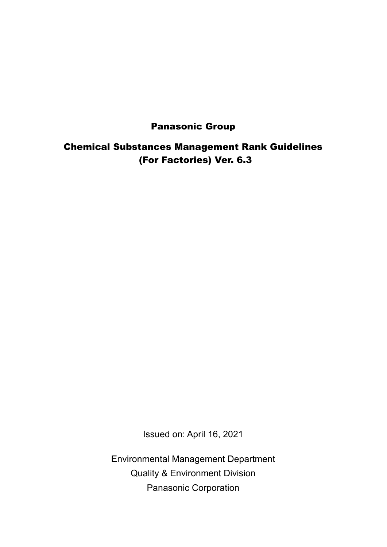# Panasonic Group

Chemical Substances Management Rank Guidelines (For Factories) Ver. 6.3

Issued on: April 16, 2021

Environmental Management Department Quality & Environment Division Panasonic Corporation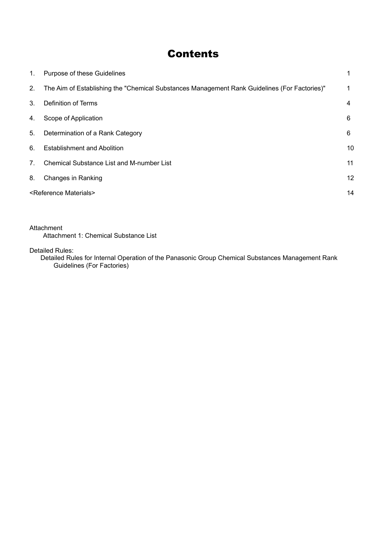# **Contents**

| 1.                               | Purpose of these Guidelines                                                                  |    |
|----------------------------------|----------------------------------------------------------------------------------------------|----|
| 2.                               | The Aim of Establishing the "Chemical Substances Management Rank Guidelines (For Factories)" | 1  |
| 3 <sub>1</sub>                   | Definition of Terms                                                                          | 4  |
| 4.                               | Scope of Application                                                                         | 6  |
| 5.                               | Determination of a Rank Category                                                             | 6  |
| 6.                               | <b>Establishment and Abolition</b>                                                           | 10 |
| $7_{\scriptscriptstyle{\ddots}}$ | <b>Chemical Substance List and M-number List</b>                                             | 11 |
| 8.                               | Changes in Ranking                                                                           | 12 |
|                                  | <reference materials=""></reference>                                                         | 14 |

Attachment Attachment 1: Chemical Substance List

Detailed Rules:

Detailed Rules for Internal Operation of the Panasonic Group Chemical Substances Management Rank Guidelines (For Factories)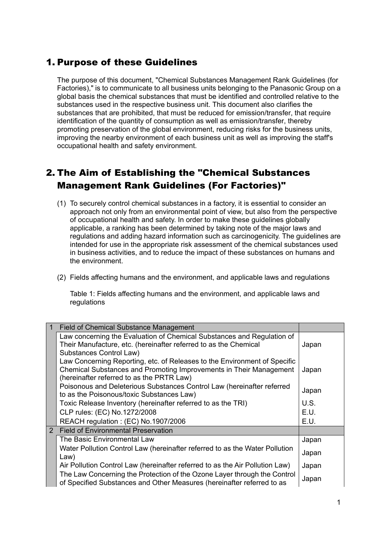# <span id="page-2-0"></span>1. Purpose of these Guidelines

The purpose of this document, "Chemical Substances Management Rank Guidelines (for Factories)," is to communicate to all business units belonging to the Panasonic Group on a global basis the chemical substances that must be identified and controlled relative to the substances used in the respective business unit. This document also clarifies the substances that are prohibited, that must be reduced for emission/transfer, that require identification of the quantity of consumption as well as emission/transfer, thereby promoting preservation of the global environment, reducing risks for the business units, improving the nearby environment of each business unit as well as improving the staff's occupational health and safety environment.

# <span id="page-2-1"></span>2. The Aim of Establishing the "Chemical Substances Management Rank Guidelines (For Factories)"

- (1) To securely control chemical substances in a factory, it is essential to consider an approach not only from an environmental point of view, but also from the perspective of occupational health and safety. In order to make these guidelines globally applicable, a ranking has been determined by taking note of the major laws and regulations and adding hazard information such as carcinogenicity. The guidelines are intended for use in the appropriate risk assessment of the chemical substances used in business activities, and to reduce the impact of these substances on humans and the environment.
- (2) Fields affecting humans and the environment, and applicable laws and regulations

Table 1: Fields affecting humans and the environment, and applicable laws and regulations

| <b>Field of Chemical Substance Management</b>                                |       |
|------------------------------------------------------------------------------|-------|
| Law concerning the Evaluation of Chemical Substances and Regulation of       |       |
| Their Manufacture, etc. (hereinafter referred to as the Chemical             | Japan |
| <b>Substances Control Law)</b>                                               |       |
| Law Concerning Reporting, etc. of Releases to the Environment of Specific    |       |
| Chemical Substances and Promoting Improvements in Their Management           | Japan |
| (hereinafter referred to as the PRTR Law)                                    |       |
| Poisonous and Deleterious Substances Control Law (hereinafter referred       | Japan |
| to as the Poisonous/toxic Substances Law)                                    |       |
| Toxic Release Inventory (hereinafter referred to as the TRI)                 | U.S.  |
| CLP rules: (EC) No.1272/2008                                                 | E.U.  |
| REACH regulation: (EC) No.1907/2006                                          | E.U.  |
| 2 Field of Environmental Preservation                                        |       |
| The Basic Environmental Law                                                  | Japan |
| Water Pollution Control Law (hereinafter referred to as the Water Pollution  |       |
| Law)                                                                         | Japan |
| Air Pollution Control Law (hereinafter referred to as the Air Pollution Law) | Japan |
| The Law Concerning the Protection of the Ozone Layer through the Control     |       |
| of Specified Substances and Other Measures (hereinafter referred to as       | Japan |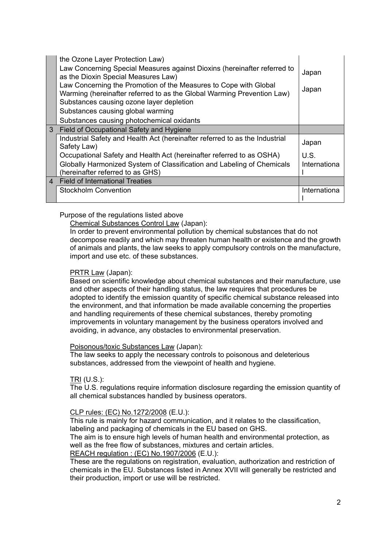| the Ozone Layer Protection Law)                                                                                                            |              |
|--------------------------------------------------------------------------------------------------------------------------------------------|--------------|
| Law Concerning Special Measures against Dioxins (hereinafter referred to<br>as the Dioxin Special Measures Law)                            | Japan        |
| Law Concerning the Promotion of the Measures to Cope with Global<br>Warming (hereinafter referred to as the Global Warming Prevention Law) | Japan        |
| Substances causing ozone layer depletion                                                                                                   |              |
| Substances causing global warming                                                                                                          |              |
| Substances causing photochemical oxidants                                                                                                  |              |
| 3 Field of Occupational Safety and Hygiene                                                                                                 |              |
| Industrial Safety and Health Act (hereinafter referred to as the Industrial<br>Safety Law)                                                 | Japan        |
| Occupational Safety and Health Act (hereinafter referred to as OSHA)                                                                       | U.S.         |
| Globally Harmonized System of Classification and Labeling of Chemicals<br>(hereinafter referred to as GHS)                                 | Internationa |
| 4 Field of International Treaties                                                                                                          |              |
| <b>Stockholm Convention</b>                                                                                                                | Internationa |

### Purpose of the regulations listed above

Chemical Substances Control Law (Japan):

In order to prevent environmental pollution by chemical substances that do not decompose readily and which may threaten human health or existence and the growth of animals and plants, the law seeks to apply compulsory controls on the manufacture, import and use etc. of these substances.

### PRTR Law (Japan):

Based on scientific knowledge about chemical substances and their manufacture, use and other aspects of their handling status, the law requires that procedures be adopted to identify the emission quantity of specific chemical substance released into the environment, and that information be made available concerning the properties and handling requirements of these chemical substances, thereby promoting improvements in voluntary management by the business operators involved and avoiding, in advance, any obstacles to environmental preservation.

### Poisonous/toxic Substances Law (Japan):

The law seeks to apply the necessary controls to poisonous and deleterious substances, addressed from the viewpoint of health and hygiene.

#### TRI (U.S.):

The U.S. regulations require information disclosure regarding the emission quantity of all chemical substances handled by business operators.

### CLP rules: (EC) No.1272/2008 (E.U.):

This rule is mainly for hazard communication, and it relates to the classification, labeling and packaging of chemicals in the EU based on GHS.

The aim is to ensure high levels of human health and environmental protection, as well as the free flow of substances, mixtures and certain articles.

REACH regulation : (EC) No.1907/2006 (E.U.):

These are the regulations on registration, evaluation, authorization and restriction of chemicals in the EU. Substances listed in Annex XVII will generally be restricted and their production, import or use will be restricted.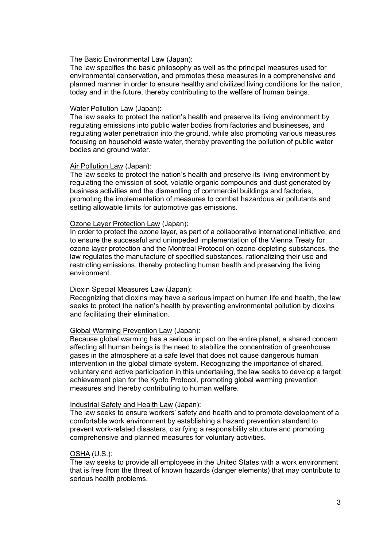#### The Basic Environmental Law (Japan):

The law specifies the basic philosophy as well as the principal measures used for environmental conservation, and promotes these measures in a comprehensive and planned manner in order to ensure healthy and civilized living conditions for the nation, today and in the future, thereby contributing to the welfare of human beings.

#### Water Pollution Law (Japan):

The law seeks to protect the nation's health and preserve its living environment by regulating emissions into public water bodies from factories and businesses, and regulating water penetration into the ground, while also promoting various measures focusing on household waste water, thereby preventing the pollution of public water bodies and ground water.

#### Air Pollution Law (Japan):

The law seeks to protect the nation's health and preserve its living environment by regulating the emission of soot, volatile organic compounds and dust generated by business activities and the dismantling of commercial buildings and factories, promoting the implementation of measures to combat hazardous air pollutants and setting allowable limits for automotive gas emissions.

#### Ozone Layer Protection Law (Japan):

In order to protect the ozone layer, as part of a collaborative international initiative, and to ensure the successful and unimpeded implementation of the Vienna Treaty for ozone layer protection and the Montreal Protocol on ozone-depleting substances, the law regulates the manufacture of specified substances, rationalizing their use and restricting emissions, thereby protecting human health and preserving the living environment.

#### Dioxin Special Measures Law (Japan):

Recognizing that dioxins may have a serious impact on human life and health, the law seeks to protect the nation's health by preventing environmental pollution by dioxins and facilitating their elimination.

### Global Warming Prevention Law (Japan):

Because global warming has a serious impact on the entire planet, a shared concern affecting all human beings is the need to stabilize the concentration of greenhouse gases in the atmosphere at a safe level that does not cause dangerous human intervention in the global climate system. Recognizing the importance of shared, voluntary and active participation in this undertaking, the law seeks to develop a target achievement plan for the Kyoto Protocol, promoting global warming prevention measures and thereby contributing to human welfare.

#### Industrial Safety and Health Law (Japan):

The law seeks to ensure workers' safety and health and to promote development of a comfortable work environment by establishing a hazard prevention standard to prevent work-related disasters, clarifying a responsibility structure and promoting comprehensive and planned measures for voluntary activities.

#### OSHA (U.S.):

The law seeks to provide all employees in the United States with a work environment that is free from the threat of known hazards (danger elements) that may contribute to serious health problems.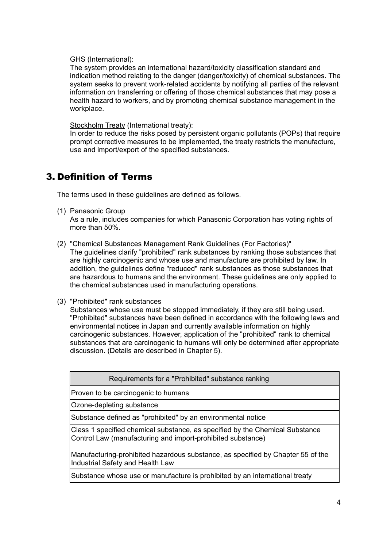GHS (International):

The system provides an international hazard/toxicity classification standard and indication method relating to the danger (danger/toxicity) of chemical substances. The system seeks to prevent work-related accidents by notifying all parties of the relevant information on transferring or offering of those chemical substances that may pose a health hazard to workers, and by promoting chemical substance management in the workplace.

Stockholm Treaty (International treaty):

In order to reduce the risks posed by persistent organic pollutants (POPs) that require prompt corrective measures to be implemented, the treaty restricts the manufacture, use and import/export of the specified substances.

# <span id="page-5-0"></span>3. Definition of Terms

The terms used in these guidelines are defined as follows.

(1) Panasonic Group

As a rule, includes companies for which Panasonic Corporation has voting rights of more than 50%.

- (2) "Chemical Substances Management Rank Guidelines (For Factories)" The guidelines clarify "prohibited" rank substances by ranking those substances that are highly carcinogenic and whose use and manufacture are prohibited by law. In addition, the guidelines define "reduced" rank substances as those substances that are hazardous to humans and the environment. These guidelines are only applied to the chemical substances used in manufacturing operations.
- (3) "Prohibited" rank substances

Substances whose use must be stopped immediately, if they are still being used. "Prohibited" substances have been defined in accordance with the following laws and environmental notices in Japan and currently available information on highly carcinogenic substances. However, application of the "prohibited" rank to chemical substances that are carcinogenic to humans will only be determined after appropriate discussion. (Details are described in Chapter 5).

Requirements for a "Prohibited" substance ranking

Proven to be carcinogenic to humans

Ozone-depleting substance

Substance defined as "prohibited" by an environmental notice

Class 1 specified chemical substance, as specified by the Chemical Substance Control Law (manufacturing and import-prohibited substance)

Manufacturing-prohibited hazardous substance, as specified by Chapter 55 of the Industrial Safety and Health Law

Substance whose use or manufacture is prohibited by an international treaty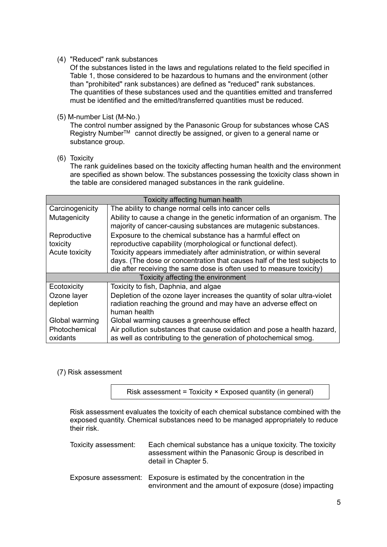### (4) "Reduced" rank substances

Of the substances listed in the laws and regulations related to the field specified in Table 1, those considered to be hazardous to humans and the environment (other than "prohibited" rank substances) are defined as "reduced" rank substances. The quantities of these substances used and the quantities emitted and transferred must be identified and the emitted/transferred quantities must be reduced.

### (5) M-number List (M-No.)

The control number assigned by the Panasonic Group for substances whose CAS Registry Number<sup>™</sup> cannot directly be assigned, or given to a general name or substance group.

### (6) Toxicity

The rank guidelines based on the toxicity affecting human health and the environment are specified as shown below. The substances possessing the toxicity class shown in the table are considered managed substances in the rank guideline.

| Toxicity affecting human health                                                                                                                                          |                                                                                                                                                                                                                           |  |  |  |  |
|--------------------------------------------------------------------------------------------------------------------------------------------------------------------------|---------------------------------------------------------------------------------------------------------------------------------------------------------------------------------------------------------------------------|--|--|--|--|
| The ability to change normal cells into cancer cells<br>Carcinogenicity                                                                                                  |                                                                                                                                                                                                                           |  |  |  |  |
| Mutagenicity                                                                                                                                                             | Ability to cause a change in the genetic information of an organism. The<br>majority of cancer-causing substances are mutagenic substances.                                                                               |  |  |  |  |
| Reproductive<br>toxicity                                                                                                                                                 | Exposure to the chemical substance has a harmful effect on<br>reproductive capability (morphological or functional defect).                                                                                               |  |  |  |  |
| Acute toxicity                                                                                                                                                           | Toxicity appears immediately after administration, or within several<br>days. (The dose or concentration that causes half of the test subjects to<br>die after receiving the same dose is often used to measure toxicity) |  |  |  |  |
|                                                                                                                                                                          | Toxicity affecting the environment                                                                                                                                                                                        |  |  |  |  |
| Ecotoxicity                                                                                                                                                              | Toxicity to fish, Daphnia, and algae                                                                                                                                                                                      |  |  |  |  |
| Ozone layer<br>depletion                                                                                                                                                 | Depletion of the ozone layer increases the quantity of solar ultra-violet<br>radiation reaching the ground and may have an adverse effect on<br>human health                                                              |  |  |  |  |
| Global warming<br>Global warming causes a greenhouse effect                                                                                                              |                                                                                                                                                                                                                           |  |  |  |  |
| Air pollution substances that cause oxidation and pose a health hazard,<br>Photochemical<br>as well as contributing to the generation of photochemical smog.<br>oxidants |                                                                                                                                                                                                                           |  |  |  |  |

## (7) Risk assessment

Risk assessment = Toxicity × Exposed quantity (in general)

Risk assessment evaluates the toxicity of each chemical substance combined with the exposed quantity. Chemical substances need to be managed appropriately to reduce their risk.

| Toxicity assessment: | Each chemical substance has a unique toxicity. The toxicity<br>assessment within the Panasonic Group is described in<br>detail in Chapter 5. |
|----------------------|----------------------------------------------------------------------------------------------------------------------------------------------|
|                      | Eynogura gaagaanaat: Eynogura ja satinaatad ku tha sanaantratisn jn tha                                                                      |

Exposure assessment: Exposure is estimated by the concentration in the environment and the amount of exposure (dose) impacting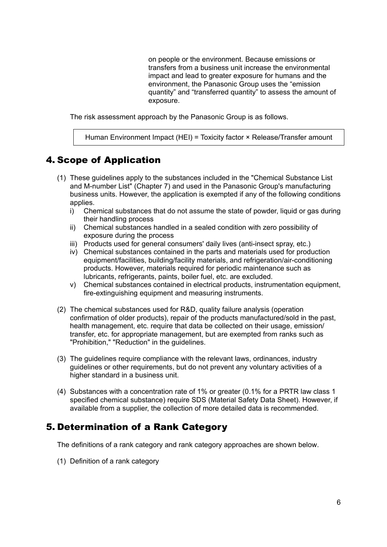on people or the environment. Because emissions or transfers from a business unit increase the environmental impact and lead to greater exposure for humans and the environment, the Panasonic Group uses the "emission quantity" and "transferred quantity" to assess the amount of exposure.

The risk assessment approach by the Panasonic Group is as follows.

Human Environment Impact (HEI) = Toxicity factor × Release/Transfer amount

# <span id="page-7-0"></span>4. Scope of Application

- (1) These guidelines apply to the substances included in the "Chemical Substance List and M-number List" (Chapter 7) and used in the Panasonic Group's manufacturing business units. However, the application is exempted if any of the following conditions applies.
	- i) Chemical substances that do not assume the state of powder, liquid or gas during their handling process
	- ii) Chemical substances handled in a sealed condition with zero possibility of exposure during the process
	- iii) Products used for general consumers' daily lives (anti-insect spray, etc.)
	- iv) Chemical substances contained in the parts and materials used for production equipment/facilities, building/facility materials, and refrigeration/air-conditioning products. However, materials required for periodic maintenance such as lubricants, refrigerants, paints, boiler fuel, etc. are excluded.
	- v) Chemical substances contained in electrical products, instrumentation equipment, fire-extinguishing equipment and measuring instruments.
- (2) The chemical substances used for R&D, quality failure analysis (operation confirmation of older products), repair of the products manufactured/sold in the past, health management, etc. require that data be collected on their usage, emission/ transfer, etc. for appropriate management, but are exempted from ranks such as "Prohibition," "Reduction" in the guidelines.
- (3) The guidelines require compliance with the relevant laws, ordinances, industry guidelines or other requirements, but do not prevent any voluntary activities of a higher standard in a business unit.
- (4) Substances with a concentration rate of 1% or greater (0.1% for a PRTR law class 1 specified chemical substance) require SDS (Material Safety Data Sheet). However, if available from a supplier, the collection of more detailed data is recommended.

# <span id="page-7-1"></span>5. Determination of a Rank Category

The definitions of a rank category and rank category approaches are shown below.

(1) Definition of a rank category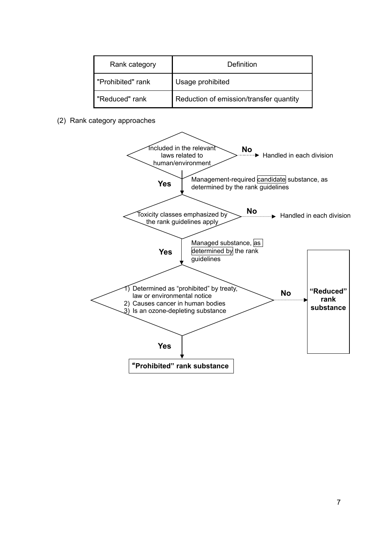| Rank category     | Definition                              |
|-------------------|-----------------------------------------|
| "Prohibited" rank | Usage prohibited                        |
| "Reduced" rank    | Reduction of emission/transfer quantity |

(2) Rank category approaches

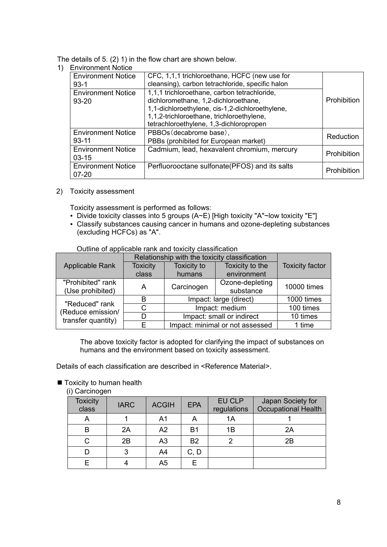The details of 5. (2) 1) in the flow chart are shown below.

1) Environment Notice

| ______________________                 |                                                                                                                                                                                                                                 |             |
|----------------------------------------|---------------------------------------------------------------------------------------------------------------------------------------------------------------------------------------------------------------------------------|-------------|
| <b>Environment Notice</b><br>$93-1$    | CFC, 1,1,1 trichloroethane, HCFC (new use for<br>cleansing), carbon tetrachloride, specific halon                                                                                                                               |             |
| <b>Environment Notice</b><br>$93 - 20$ | 1,1,1 trichloroethane, carbon tetrachloride,<br>dichloromethane, 1,2-dichloroethane,<br>1,1-dichloroethylene, cis-1,2-dichloroethylene,<br>1,1,2-trichloroethane, trichloroethylene,<br>tetrachloroethylene, 1,3-dichloropropen | Prohibition |
| <b>Environment Notice</b><br>$93 - 11$ | PBBOs (decabrome base),<br>PBBs (prohibited for European market)                                                                                                                                                                | Reduction   |
| <b>Environment Notice</b><br>$03 - 15$ | Cadmium, lead, hexavalent chromium, mercury                                                                                                                                                                                     | Prohibition |
| <b>Environment Notice</b><br>$07 - 20$ | Perfluorooctane sulfonate(PFOS) and its salts                                                                                                                                                                                   | Prohibition |

2) Toxicity assessment

Toxicity assessment is performed as follows:

- Divide toxicity classes into 5 groups (A~E) [High toxicity "A"~low toxicity "E"]
- Classify substances causing cancer in humans and ozone-depleting substances (excluding HCFCs) as "A".

Outline of applicable rank and toxicity classification

|                                       | Relationship with the toxicity classification |                                 |                              |                        |
|---------------------------------------|-----------------------------------------------|---------------------------------|------------------------------|------------------------|
| <b>Applicable Rank</b>                | <b>Toxicity</b>                               | Toxicity to                     | Toxicity to the              | <b>Toxicity factor</b> |
|                                       | class                                         | humans                          | environment                  |                        |
| "Prohibited" rank<br>(Use prohibited) | A                                             | Carcinogen                      | Ozone-depleting<br>substance | 10000 times            |
| "Reduced" rank                        | в                                             | Impact: large (direct)          |                              | 1000 times             |
| (Reduce emission/                     | C                                             | Impact: medium                  |                              | 100 times              |
| transfer quantity)                    | D                                             | Impact: small or indirect       |                              | 10 times               |
|                                       | F                                             | Impact: minimal or not assessed |                              | 1 time                 |

The above toxicity factor is adopted for clarifying the impact of substances on humans and the environment based on toxicity assessment.

Details of each classification are described in <Reference Material>.

■ Toxicity to human health

(i) Carcinogen

| <b>Toxicity</b><br>class | <b>IARC</b> | <b>ACGIH</b>   | <b>EPA</b> | EU CLP<br>regulations | Japan Society for<br><b>Occupational Health</b> |
|--------------------------|-------------|----------------|------------|-----------------------|-------------------------------------------------|
| А                        |             | A1             | A          | 1A                    |                                                 |
| в                        | 2A          | A2             | B1         | 1B                    | 2A                                              |
|                          | 2B          | A <sub>3</sub> | <b>B2</b>  |                       | 2B                                              |
|                          | 3           | A4             | C, D       |                       |                                                 |
|                          |             | A <sub>5</sub> |            |                       |                                                 |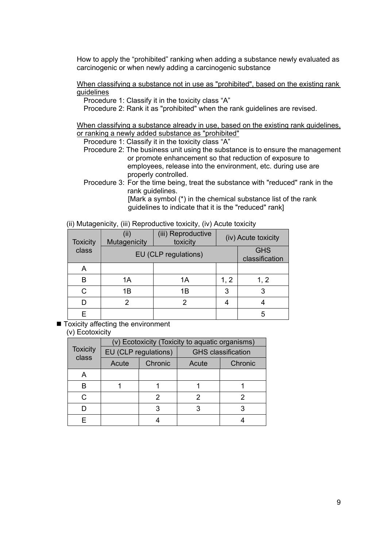How to apply the "prohibited" ranking when adding a substance newly evaluated as carcinogenic or when newly adding a carcinogenic substance

When classifying a substance not in use as "prohibited", based on the existing rank guidelines

Procedure 1: Classify it in the toxicity class "A"

Procedure 2: Rank it as "prohibited" when the rank guidelines are revised.

When classifying a substance already in use, based on the existing rank guidelines, or ranking a newly added substance as "prohibited"

Procedure 1: Classify it in the toxicity class "A"

- Procedure 2: The business unit using the substance is to ensure the management or promote enhancement so that reduction of exposure to employees, release into the environment, etc. during use are properly controlled.
- Procedure 3: For the time being, treat the substance with "reduced" rank in the rank guidelines. [Mark a symbol (\*) in the chemical substance list of the rank

guidelines to indicate that it is the "reduced" rank]

| (ii) Mutagenicity, (iii) Reproductive toxicity, (iv) Acute toxicity |  |  |  |  |  |  |
|---------------------------------------------------------------------|--|--|--|--|--|--|
|---------------------------------------------------------------------|--|--|--|--|--|--|

| <b>Toxicity</b> | (ii)<br>Mutagenicity | (iii) Reproductive<br>toxicity | (iv) Acute toxicity |      |
|-----------------|----------------------|--------------------------------|---------------------|------|
| class           | EU (CLP regulations) | <b>GHS</b><br>classification   |                     |      |
| Α               |                      |                                |                     |      |
| В               | 1A                   | 1Α                             | 1, 2                | 1, 2 |
| C.              | 1B                   | 1B                             | 3                   | 3    |
|                 |                      | 2                              |                     |      |
| F               |                      |                                |                     | 5    |

 $\blacksquare$  Toxicity affecting the environment

### (v) Ecotoxicity

|                          |       |                      | (v) Ecotoxicity (Toxicity to aquatic organisms) |         |  |
|--------------------------|-------|----------------------|-------------------------------------------------|---------|--|
| <b>Toxicity</b><br>class |       | EU (CLP regulations) | <b>GHS</b> classification                       |         |  |
|                          | Acute | Chronic              | Acute                                           | Chronic |  |
|                          |       |                      |                                                 |         |  |
| R                        |       |                      |                                                 |         |  |
| C                        |       | 2                    |                                                 | 2       |  |
|                          |       |                      |                                                 |         |  |
|                          |       |                      |                                                 |         |  |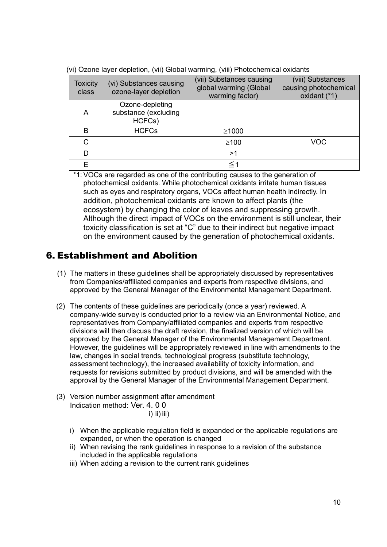| <b>Toxicity</b><br>class | (vi) Substances causing<br>ozone-layer depletion  | (vii) Substances causing<br>global warming (Global<br>warming factor) | (viii) Substances<br>causing photochemical<br>oxidant (*1) |
|--------------------------|---------------------------------------------------|-----------------------------------------------------------------------|------------------------------------------------------------|
| А                        | Ozone-depleting<br>substance (excluding<br>HCFCs) |                                                                       |                                                            |
| B                        | <b>HCFCs</b>                                      | $\geq 1000$                                                           |                                                            |
| C                        |                                                   | $\geq$ 100                                                            | <b>VOC</b>                                                 |
| D                        |                                                   | >1                                                                    |                                                            |
|                          |                                                   | $\le$ 1                                                               |                                                            |

(vi) Ozone layer depletion, (vii) Global warming, (viii) Photochemical oxidants

\*1: VOCs are regarded as one of the contributing causes to the generation of photochemical oxidants. While photochemical oxidants irritate human tissues such as eyes and respiratory organs, VOCs affect human health indirectly. In addition, photochemical oxidants are known to affect plants (the ecosystem) by changing the color of leaves and suppressing growth. Although the direct impact of VOCs on the environment is still unclear, their toxicity classification is set at "C" due to their indirect but negative impact on the environment caused by the generation of photochemical oxidants.

# <span id="page-11-0"></span>6. Establishment and Abolition

- (1) The matters in these guidelines shall be appropriately discussed by representatives from Companies/affiliated companies and experts from respective divisions, and approved by the General Manager of the Environmental Management Department.
- (2) The contents of these guidelines are periodically (once a year) reviewed. A company-wide survey is conducted prior to a review via an Environmental Notice, and representatives from Company/affiliated companies and experts from respective divisions will then discuss the draft revision, the finalized version of which will be approved by the General Manager of the Environmental Management Department. However, the guidelines will be appropriately reviewed in line with amendments to the law, changes in social trends, technological progress (substitute technology, assessment technology), the increased availability of toxicity information, and requests for revisions submitted by product divisions, and will be amended with the approval by the General Manager of the Environmental Management Department.
- (3) Version number assignment after amendment Indication method: Ver. 4. 0 0
	- i) ii)  $\overline{\phantom{a}}$ ii)
	- i) When the applicable regulation field is expanded or the applicable regulations are expanded, or when the operation is changed
	- ii) When revising the rank guidelines in response to a revision of the substance included in the applicable regulations
	- iii) When adding a revision to the current rank guidelines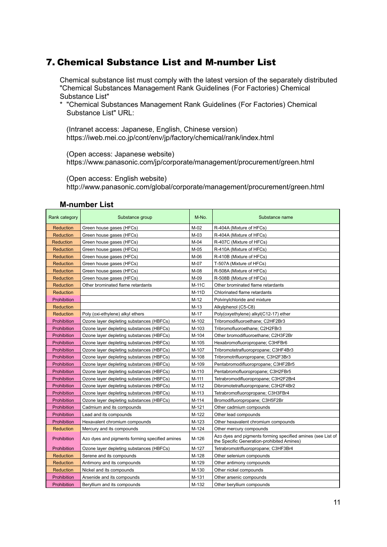# <span id="page-12-0"></span>7. Chemical Substance List and M-number List

Chemical substance list must comply with the latest version of the separately distributed "Chemical Substances Management Rank Guidelines (For Factories) Chemical Substance List"

\* "Chemical Substances Management Rank Guidelines (For Factories) Chemical Substance List" URL:

(Intranet access: Japanese, English, Chinese version) https://iweb.mei.co.jp/cont/env/jp/factory/chemical/rank/index.html

(Open access: Japanese website)

https://www.panasonic.com/jp/corporate/management/procurement/green.html

(Open access: English website)

http://www.panasonic.com/global/corporate/management/procurement/green.html

| Rank category    | Substance group                                | M-No.  | Substance name                                                                                            |
|------------------|------------------------------------------------|--------|-----------------------------------------------------------------------------------------------------------|
| <b>Reduction</b> | Green house gases (HFCs)                       | M-02   | R-404A (Mixture of HFCs)                                                                                  |
| <b>Reduction</b> | Green house gases (HFCs)                       | $M-03$ | R-404A (Mixture of HFCs)                                                                                  |
| <b>Reduction</b> | Green house gases (HFCs)                       | M-04   | R-407C (Mixture of HFCs)                                                                                  |
| <b>Reduction</b> | Green house gases (HFCs)                       | M-05   | R-410A (Mixture of HFCs)                                                                                  |
| <b>Reduction</b> | Green house gases (HFCs)                       | M-06   | R-410B (Mixture of HFCs)                                                                                  |
| <b>Reduction</b> | Green house gases (HFCs)                       | M-07   | T-507A (Mixture of HFCs)                                                                                  |
| <b>Reduction</b> | Green house gases (HFCs)                       | M-08   | R-508A (Mixture of HFCs)                                                                                  |
| <b>Reduction</b> | Green house gases (HFCs)                       | M-09   | R-508B (Mixture of HFCs)                                                                                  |
| <b>Reduction</b> | Other brominated flame retardants              | M-11C  | Other brominated flame retardants                                                                         |
| <b>Reduction</b> |                                                | M-11D  | Chlorinated flame retardants                                                                              |
| Prohibition      |                                                | $M-12$ | Polvinylchloride and mixture                                                                              |
| <b>Reduction</b> |                                                | $M-13$ | Alkylphenol (C5-C8)                                                                                       |
| Reduction        | Poly (oxi-ethylene) alkyl ethers               | M-17   | Poly(oxyethylene) alkyl(C12-17) ether                                                                     |
| Prohibition      | Ozone layer depleting substances (HBFCs)       | M-102  | Tribromodifluoroethane; C2HF2Br3                                                                          |
| Prohibition      | Ozone layer depleting substances (HBFCs)       | M-103  | Tribromofluoroethane; C2H2FBr3                                                                            |
| Prohibition      | Ozone layer depleting substances (HBFCs)       | M-104  | Other bromodifluoroethane; C2H3F2Br                                                                       |
| Prohibition      | Ozone layer depleting substances (HBFCs)       | M-105  | Hexabromofluoropropane; C3HFBr6                                                                           |
| Prohibition      | Ozone layer depleting substances (HBFCs)       | M-107  | Tribromotetrafluoropropane; C3HF4Br3                                                                      |
| Prohibition      | Ozone layer depleting substances (HBFCs)       | M-108  | Tribromotrifluoropropane; C3H2F3Br3                                                                       |
| Prohibition      | Ozone layer depleting substances (HBFCs)       | M-109  | Pentabromodifluoropropane; C3HF2Br5                                                                       |
| Prohibition      | Ozone layer depleting substances (HBFCs)       | M-110  | Pentabromofluoropropane; C3H2FBr5                                                                         |
| Prohibition      | Ozone layer depleting substances (HBFCs)       | M-111  | Tetrabromodifluoropropane; C3H2F2Br4                                                                      |
| Prohibition      | Ozone layer depleting substances (HBFCs)       | M-112  | Dibromotetrafluoropropane; C3H2F4Br2                                                                      |
| Prohibition      | Ozone layer depleting substances (HBFCs)       | M-113  | Tetrabromofluoropropane; C3H3FBr4                                                                         |
| Prohibition      | Ozone layer depleting substances (HBFCs)       | M-114  | Bromodifluoropropane; C3H5F2Br                                                                            |
| Prohibition      | Cadmium and its compounds                      | M-121  | Other cadmium compounds                                                                                   |
| Prohibition      | Lead and its compounds                         | M-122  | Other lead compounds                                                                                      |
| Prohibition      | Hexavalent chromium compounds                  | M-123  | Other hexavalent chromium compounds                                                                       |
| <b>Reduction</b> | Mercury and its compounds                      | M-124  | Other mercury compounds                                                                                   |
| Prohibition      | Azo dyes and pigments forming specified amines | M-126  | Azo dyes and pigments forming specified amines (see List of<br>the Specific Generation-prohibited Amines) |
| Prohibition      | Ozone layer depleting substances (HBFCs)       | M-127  | Tetrabromotrifluoropropane; C3HF3Br4                                                                      |
| <b>Reduction</b> | Serene and its compounds                       | M-128  | Other selenium compounds                                                                                  |
| <b>Reduction</b> | Antimony and its compounds                     | M-129  | Other antimony compounds                                                                                  |
| Reduction        | Nickel and its compounds                       | M-130  | Other nickel compounds                                                                                    |
| Prohibition      | Arsenide and its compounds                     | M-131  | Other arsenic compounds                                                                                   |
| Prohibition      | Beryllium and its compounds                    | M-132  | Other beryllium compounds                                                                                 |

#### **M-number List**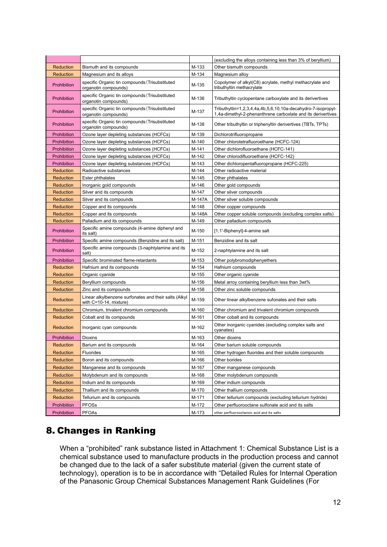| <b>Reduction</b> |                                                                                        | M-133  | (excluding the alloys containing less than 3% of beryllium)                                                                  |
|------------------|----------------------------------------------------------------------------------------|--------|------------------------------------------------------------------------------------------------------------------------------|
| <b>Reduction</b> | Bismuth and its compounds<br>Magnesium and its alloys                                  | M-134  | Other bismuth compounds<br>Magnesium alloy                                                                                   |
| Prohibition      | specific Organic tin compounds (Trisubstituted<br>organotin compounds)                 | M-135  | Copolymer of alkyl(C8) acrylate, methyl methacrylate and<br>tributhyltin methacrylate                                        |
| Prohibition      | specific Organic tin compounds (Trisubstituted<br>organotin compounds)                 | M-136  | Tributhyltin cyclopentane carboxylate and its derivertives                                                                   |
| Prohibition      | specific Organic tin compounds (Trisubstituted<br>organotin compounds)                 | M-137  | Tributhyltin=1,2,3,4,4a,4b,5,6,10,10a-decahydro-7-isopropyl-<br>1,4a-dimethyl-2-phenanthrene carboxlate and its derivertives |
| Prohibition      | specific Organic tin compounds (Trisubstituted<br>organotin compounds)                 | M-138  | Other tributhyltin or triphenyltin derivertives (TBTs, TPTs)                                                                 |
| Prohibition      | Ozone layer depleting substances (HCFCs)                                               | M-139  | Dichlorotrifluoropropane                                                                                                     |
| Prohibition      | Ozone layer depleting substances (HCFCs)                                               | M-140  | Other chlorotetrafluoroethane (HCFC-124)                                                                                     |
| Prohibition      | Ozone layer depleting substances (HCFCs)                                               | M-141  | Other dichlorofluoroethane (HCFC-141)                                                                                        |
| Prohibition      | Ozone layer depleting substances (HCFCs)                                               | M-142  | Other chlorodifluoroethane (HCFC-142)                                                                                        |
| Prohibition      | Ozone layer depleting substances (HCFCs)                                               | M-143  | Other dichloropentafluoropropane (HCFC-225)                                                                                  |
| Reduction        | Radioactive substances                                                                 | M-144  | Other radioactive material                                                                                                   |
| <b>Reduction</b> | Ester phthalates                                                                       | M-145  | Other phthalates                                                                                                             |
| Reduction        | Inorganic gold compounds                                                               | M-146  | Other gold compounds                                                                                                         |
| <b>Reduction</b> | Silver and its compounds                                                               | M-147  | Other silver compounds                                                                                                       |
| <b>Reduction</b> | Silver and its compounds                                                               | M-147A | Other silver soluble compounds                                                                                               |
| <b>Reduction</b> | Copper and its compounds                                                               | M-148  | Other copper compounds                                                                                                       |
| <b>Reduction</b> | Copper and its compounds                                                               | M-148A | Other copper soluble compounds (excluding complex salts)                                                                     |
| <b>Reduction</b> | Palladium and its compounds                                                            | M-149  | Other palladium compounds                                                                                                    |
| Prohibition      | Specific amine compounds (4-amine diphenyl and<br>its salt)                            | M-150  | [1,1'-Biphenyl]-4-amine salt                                                                                                 |
| Prohibition      | Specific amine compounds (Benzidine and its salt)                                      | M-151  | Benzidine and its salt                                                                                                       |
| Prohibition      | Specific amine compounds (3-naphtylamine and its<br>salt)                              | M-152  | 2-naphtylamine and its salt                                                                                                  |
| Prohibition      | Specific brominated flame-retardants                                                   | M-153  | Other polybromodiphenyethers                                                                                                 |
| <b>Reduction</b> | Hafnium and its compounds                                                              | M-154  | Hafnium compounds                                                                                                            |
| Reduction        | Organic cyanide                                                                        | M-155  | Other organic cyanide                                                                                                        |
| <b>Reduction</b> | Beryllium compounds                                                                    | M-156  | Metal arroy containing beryllium less than 3wt%                                                                              |
| Reduction        | Zinc and its compounds                                                                 | M-158  | Other zinc soluble compounds                                                                                                 |
| Reduction        | Linear alkylbenzene surfonates and their salts (Alkyl<br>with $C = 10 - 14$ , mixture) | M-159  | Other linear alkylbenzene sufonates and their salts                                                                          |
| Reduction        | Chromium, trivalent chromium compounds                                                 | M-160  | Other chromium and trivalent chromium compounds                                                                              |
| <b>Reduction</b> | Cobalt and its compounds                                                               | M-161  | Other cobalt and its compounds                                                                                               |
| <b>Reduction</b> | Inorganic cyan compounds                                                               | M-162  | Other inorganic cyanides (excluding complex salts and<br>cyanates)                                                           |
| Prohibition      | Dioxins                                                                                | M-163  | Other dioxins                                                                                                                |
| Reduction        | Barium and its compounds                                                               | M-164  | Other barium soluble compounds                                                                                               |
| Reduction        | Fluorides                                                                              | M-165  | Other hydrogen fluorides and their soluble compounds                                                                         |
| Reduction        | Boron and its compounds                                                                | M-166  | Other borides                                                                                                                |
| Reduction        | Manganese and its compounds                                                            | M-167  | Other manganese compounds                                                                                                    |
| Reduction        | Molybdenum and its compounds                                                           | M-168  | Other molybdenum compounds                                                                                                   |
| Reduction        | Indium and its compounds                                                               | M-169  | Other indium compounds                                                                                                       |
| Reduction        | Thallium and its compounds                                                             | M-170  | Other thallium compounds                                                                                                     |
| Reduction        | Tellurium and its compounds                                                            | M-171  | Other tellurium compounds (excluding tellurium hydride)                                                                      |
| Prohibition      | <b>PFOSs</b>                                                                           | M-172  | Other perfluorooctane sulfonate acid and its salts                                                                           |
| Prohibition      | <b>PFOAs</b>                                                                           | M-173  | other perfluorooctanoic acid and its salts                                                                                   |

# <span id="page-13-0"></span>8. Changes in Ranking

When a "prohibited" rank substance listed in Attachment 1: Chemical Substance List is a chemical substance used to manufacture products in the production process and cannot be changed due to the lack of a safer substitute material (given the current state of technology), operation is to be in accordance with "Detailed Rules for Internal Operation of the Panasonic Group Chemical Substances Management Rank Guidelines (For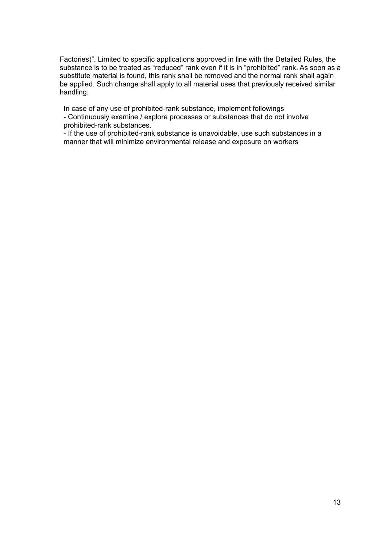Factories)". Limited to specific applications approved in line with the Detailed Rules, the substance is to be treated as "reduced" rank even if it is in "prohibited" rank. As soon as a substitute material is found, this rank shall be removed and the normal rank shall again be applied. Such change shall apply to all material uses that previously received similar handling.

In case of any use of prohibited-rank substance, implement followings

- Continuously examine / explore processes or substances that do not involve prohibited-rank substances.

- If the use of prohibited-rank substance is unavoidable, use such substances in a manner that will minimize environmental release and exposure on workers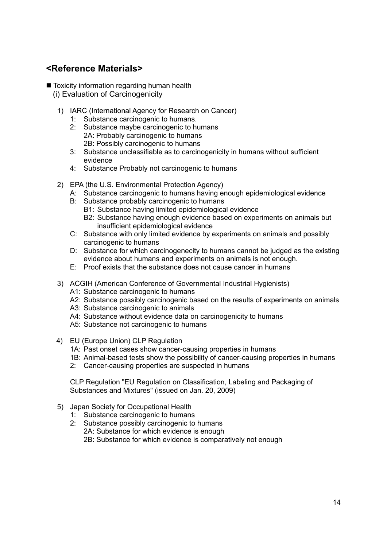# <span id="page-15-0"></span>**<Reference Materials>**

■ Toxicity information regarding human health

- (i) Evaluation of Carcinogenicity
- 1) IARC (International Agency for Research on Cancer)
	- 1: Substance carcinogenic to humans.
	- 2: Substance maybe carcinogenic to humans 2A: Probably carcinogenic to humans 2B: Possibly carcinogenic to humans
	- 3: Substance unclassifiable as to carcinogenicity in humans without sufficient evidence
	- 4: Substance Probably not carcinogenic to humans
- 2) EPA (the U.S. Environmental Protection Agency)
	- A: Substance carcinogenic to humans having enough epidemiological evidence
	- B: Substance probably carcinogenic to humans
		- B1: Substance having limited epidemiological evidence
		- B2: Substance having enough evidence based on experiments on animals but insufficient epidemiological evidence
	- C: Substance with only limited evidence by experiments on animals and possibly carcinogenic to humans
	- D: Substance for which carcinogenecity to humans cannot be judged as the existing evidence about humans and experiments on animals is not enough.
	- E: Proof exists that the substance does not cause cancer in humans
- 3) ACGIH (American Conference of Governmental Industrial Hygienists)
	- A1: Substance carcinogenic to humans
	- A2: Substance possibly carcinogenic based on the results of experiments on animals
	- A3: Substance carcinogenic to animals
	- A4: Substance without evidence data on carcinogenicity to humans
	- A5: Substance not carcinogenic to humans
- 4) EU (Europe Union) CLP Regulation
	- 1A: Past onset cases show cancer-causing properties in humans
	- 1B: Animal-based tests show the possibility of cancer-causing properties in humans
	- 2: Cancer-causing properties are suspected in humans

CLP Regulation "EU Regulation on Classification, Labeling and Packaging of Substances and Mixtures" (issued on Jan. 20, 2009)

- 5) Japan Society for Occupational Health
	- 1: Substance carcinogenic to humans
	- 2: Substance possibly carcinogenic to humans 2A: Substance for which evidence is enough 2B: Substance for which evidence is comparatively not enough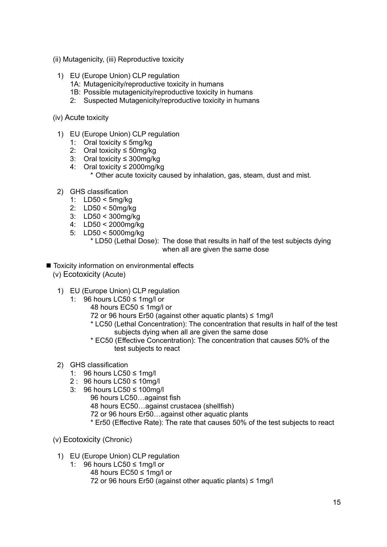- (ii) Mutagenicity, (iii) Reproductive toxicity
	- 1) EU (Europe Union) CLP regulation
		- 1A: Mutagenicity/reproductive toxicity in humans
		- 1B: Possible mutagenicity/reproductive toxicity in humans
		- 2: Suspected Mutagenicity/reproductive toxicity in humans
- (iv) Acute toxicity
	- 1) EU (Europe Union) CLP regulation
		- 1: Oral toxicity ≤ 5mg/kg
		- 2: Oral toxicity ≤ 50mg/kg
		- 3: Oral toxicity ≤ 300mg/kg
		- 4: Oral toxicity ≤ 2000mg/kg
			- \* Other acute toxicity caused by inhalation, gas, steam, dust and mist.
	- 2) GHS classification
		- 1: LD50 < 5mg/kg
		- 2: LD50 < 50mg/kg
		- 3: LD50 < 300mg/kg
		- 4: LD50 < 2000mg/kg
		- 5: LD50 < 5000mg/kg

\* LD50 (Lethal Dose): The dose that results in half of the test subjects dying when all are given the same dose

- Toxicity information on environmental effects
	- (v) Ecotoxicity (Acute)
		- 1) EU (Europe Union) CLP regulation
			- 1: 96 hours LC50 ≤ 1mg/l or
				- 48 hours EC50 ≤ 1mg/l or
				- 72 or 96 hours Er50 (against other aquatic plants)  $\leq 1$ mg/l
				- \* LC50 (Lethal Concentration): The concentration that results in half of the test subjects dying when all are given the same dose
				- \* EC50 (Effective Concentration): The concentration that causes 50% of the test subjects to react
	- 2) GHS classification
		- 1: 96 hours LC50 ≤ 1mg/l
		- 2 : 96 hours LC50 ≤ 10mg/l
		- 3: 96 hours LC50 ≤ 100mg/l
			- 96 hours LC50…against fish
				- 48 hours EC50…against crustacea (shellfish)
				- 72 or 96 hours Er50…against other aquatic plants
				- \* Er50 (Effective Rate): The rate that causes 50% of the test subjects to react
	- (v) Ecotoxicity (Chronic)
		- 1) EU (Europe Union) CLP regulation
			- 1: 96 hours LC50 ≤ 1mg/l or
				- 48 hours EC50 ≤ 1mg/l or
				- 72 or 96 hours Er50 (against other aquatic plants) ≤ 1mg/l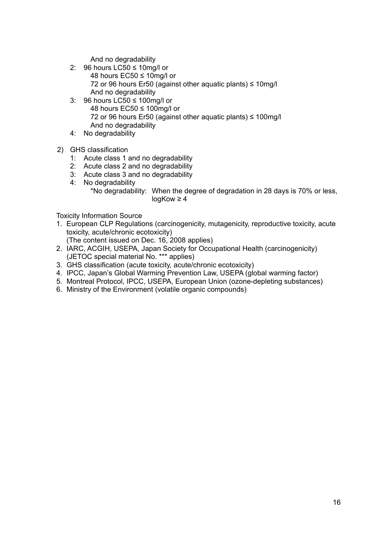And no degradability

- 2: 96 hours LC50 ≤ 10mg/l or 48 hours EC50 ≤ 10mg/l or 72 or 96 hours Er50 (against other aquatic plants) ≤ 10mg/l And no degradability
- 3: 96 hours LC50 ≤ 100mg/l or 48 hours EC50 ≤ 100mg/l or 72 or 96 hours Er50 (against other aquatic plants) ≤ 100mg/l And no degradability
- 4: No degradability
- 2) GHS classification
	- 1: Acute class 1 and no degradability
	- 2: Acute class 2 and no degradability
	- 3: Acute class 3 and no degradability
	- 4: No degradability
		- \*No degradability: When the degree of degradation in 28 days is 70% or less, logKow ≥ 4

Toxicity Information Source

- 1. European CLP Regulations (carcinogenicity, mutagenicity, reproductive toxicity, acute toxicity, acute/chronic ecotoxicity)
	- (The content issued on Dec. 16, 2008 applies)
- 2. IARC, ACGIH, USEPA, Japan Society for Occupational Health (carcinogenicity) (JETOC special material No. \*\*\* applies)
- 3. GHS classification (acute toxicity, acute/chronic ecotoxicity)
- 4. IPCC, Japan's Global Warming Prevention Law, USEPA (global warming factor)
- 5. Montreal Protocol, IPCC, USEPA, European Union (ozone-depleting substances)
- 6. Ministry of the Environment (volatile organic compounds)